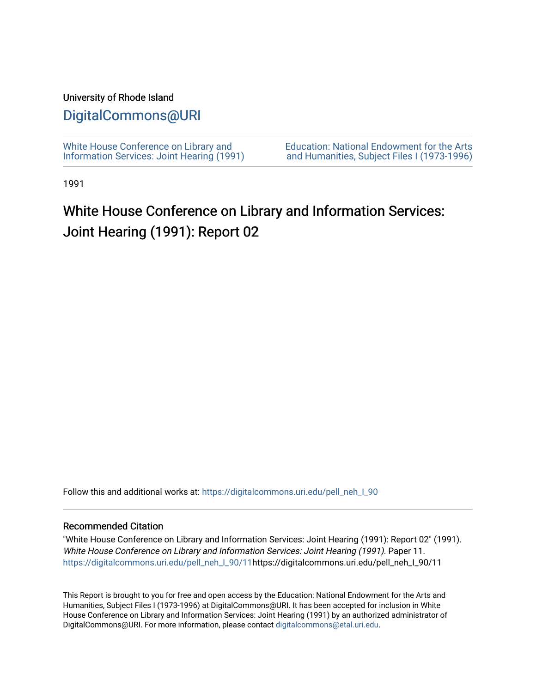## University of Rhode Island

## [DigitalCommons@URI](https://digitalcommons.uri.edu/)

[White House Conference on Library and](https://digitalcommons.uri.edu/pell_neh_I_90) [Information Services: Joint Hearing \(1991\)](https://digitalcommons.uri.edu/pell_neh_I_90) [Education: National Endowment for the Arts](https://digitalcommons.uri.edu/pell_neh_I)  [and Humanities, Subject Files I \(1973-1996\)](https://digitalcommons.uri.edu/pell_neh_I) 

1991

## White House Conference on Library and Information Services: Joint Hearing (1991): Report 02

Follow this and additional works at: https://digitalcommons.uri.edu/pell\_neh\_I\_90

## Recommended Citation

"White House Conference on Library and Information Services: Joint Hearing (1991): Report 02" (1991). White House Conference on Library and Information Services: Joint Hearing (1991). Paper 11. [https://digitalcommons.uri.edu/pell\\_neh\\_I\\_90/11h](https://digitalcommons.uri.edu/pell_neh_I_90/11?utm_source=digitalcommons.uri.edu%2Fpell_neh_I_90%2F11&utm_medium=PDF&utm_campaign=PDFCoverPages)ttps://digitalcommons.uri.edu/pell\_neh\_I\_90/11

This Report is brought to you for free and open access by the Education: National Endowment for the Arts and Humanities, Subject Files I (1973-1996) at DigitalCommons@URI. It has been accepted for inclusion in White House Conference on Library and Information Services: Joint Hearing (1991) by an authorized administrator of DigitalCommons@URI. For more information, please contact [digitalcommons@etal.uri.edu.](mailto:digitalcommons@etal.uri.edu)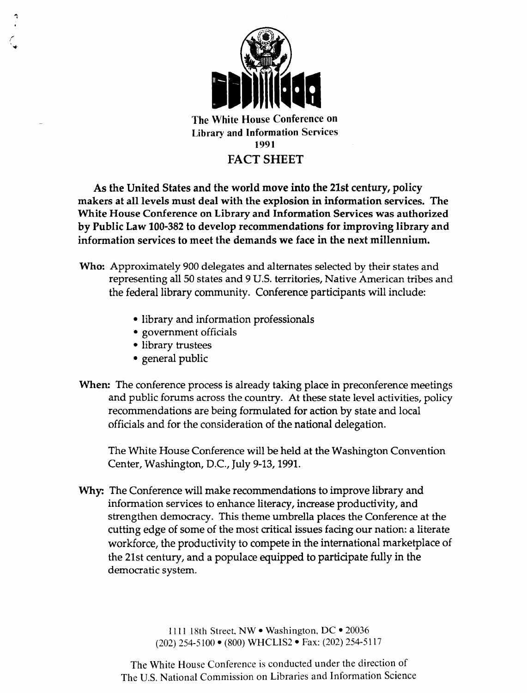

As the United States and the world move into the 21st century, policy makers at all levels must deal with the explosion in information services. The White House Conference on Library and Information Services was authorized by Public Law 100-382 to develop recommendations for improving library and information services to meet the demands we face in the next millennium.

- Who: Approximately 900 delegates and alternates selected by their states and representing all 50 states and 9 U.S. territories, Native American tribes and the federal library community. Conference participants will include:
	- library and information professionals
	- government officials
	- library trustees
	- general public
- When: The conference process is already taking place in preconference meetings and public forums across the country. At these state level activities, policy recommendations are being formulated for action by state and local officials and for the consideration of the national delegation.

The White House Conference will be held at the Washington Convention Center, Washington, D.C., July 9-13, 1991.

Why: The Conference will make recommendations to improve library and information services to enhance literacy, increase productivity, and strengthen democracy. This theme umbrella places the Conference at the cutting edge of some of the most critical issues facing our nation: a literate workforce, the productivity to compete in the international marketplace of the 21st century, and a populace equipped to participate fully in the democratic system.

> 1111 18th Street, NW • Washington, DC • 20036 (202) 254-5100 • (800) WHCLIS2 •Fax: (202) 254-5117

The White House Conference is conducted under the direction of The U.S. National Commission on Libraries and Information Science